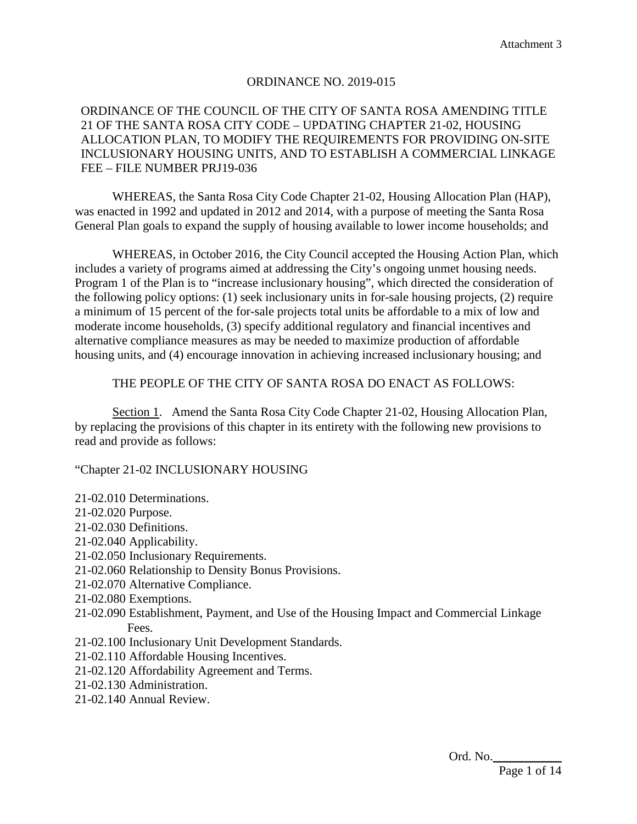### ORDINANCE NO. 2019-015

### ORDINANCE OF THE COUNCIL OF THE CITY OF SANTA ROSA AMENDING TITLE 21 OF THE SANTA ROSA CITY CODE – UPDATING CHAPTER 21-02, HOUSING ALLOCATION PLAN, TO MODIFY THE REQUIREMENTS FOR PROVIDING ON-SITE INCLUSIONARY HOUSING UNITS, AND TO ESTABLISH A COMMERCIAL LINKAGE FEE – FILE NUMBER PRJ19-036

WHEREAS, the Santa Rosa City Code Chapter 21-02, Housing Allocation Plan (HAP), was enacted in 1992 and updated in 2012 and 2014, with a purpose of meeting the Santa Rosa General Plan goals to expand the supply of housing available to lower income households; and

WHEREAS, in October 2016, the City Council accepted the Housing Action Plan, which includes a variety of programs aimed at addressing the City's ongoing unmet housing needs. Program 1 of the Plan is to "increase inclusionary housing", which directed the consideration of the following policy options: (1) seek inclusionary units in for-sale housing projects, (2) require a minimum of 15 percent of the for-sale projects total units be affordable to a mix of low and moderate income households, (3) specify additional regulatory and financial incentives and alternative compliance measures as may be needed to maximize production of affordable housing units, and (4) encourage innovation in achieving increased inclusionary housing; and

#### THE PEOPLE OF THE CITY OF SANTA ROSA DO ENACT AS FOLLOWS:

Section 1. Amend the Santa Rosa City Code Chapter 21-02, Housing Allocation Plan, by replacing the provisions of this chapter in its entirety with the following new provisions to read and provide as follows:

#### "Chapter 21-02 INCLUSIONARY HOUSING

- 21-02.010 Determinations.
- 21-02.020 Purpose.
- 21-02.030 Definitions.
- 21-02.040 Applicability.
- 21-02.050 Inclusionary Requirements.
- 21-02.060 Relationship to Density Bonus Provisions.
- 21-02.070 Alternative Compliance.
- 21-02.080 Exemptions.
- 21-02.090 Establishment, Payment, and Use of the Housing Impact and Commercial Linkage Fees.
- 21-02.100 Inclusionary Unit Development Standards.
- 21-02.110 Affordable Housing Incentives.
- 21-02.120 Affordability Agreement and Terms.
- 21-02.130 Administration.
- 21-02.140 Annual Review.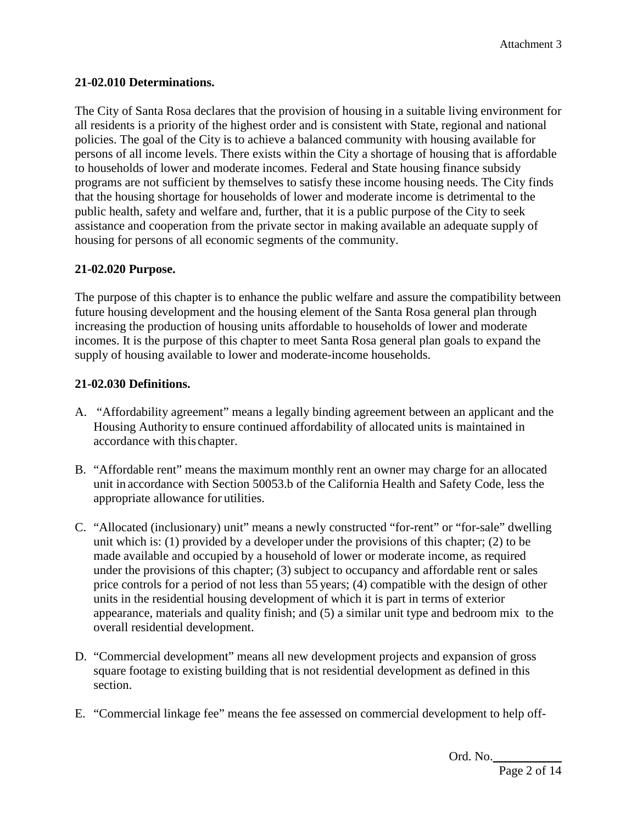## **21-02.010 Determinations.**

The City of Santa Rosa declares that the provision of housing in a suitable living environment for all residents is a priority of the highest order and is consistent with State, regional and national policies. The goal of the City is to achieve a balanced community with housing available for persons of all income levels. There exists within the City a shortage of housing that is affordable to households of lower and moderate incomes. Federal and State housing finance subsidy programs are not sufficient by themselves to satisfy these income housing needs. The City finds that the housing shortage for households of lower and moderate income is detrimental to the public health, safety and welfare and, further, that it is a public purpose of the City to seek assistance and cooperation from the private sector in making available an adequate supply of housing for persons of all economic segments of the community.

#### **21-02.020 Purpose.**

The purpose of this chapter is to enhance the public welfare and assure the compatibility between future housing development and the housing element of the Santa Rosa general plan through increasing the production of housing units affordable to households of lower and moderate incomes. It is the purpose of this chapter to meet Santa Rosa general plan goals to expand the supply of housing available to lower and moderate-income households.

#### **21-02.030 Definitions.**

- A. "Affordability agreement" means a legally binding agreement between an applicant and the Housing Authority to ensure continued affordability of allocated units is maintained in accordance with this chapter.
- B. "Affordable rent" means the maximum monthly rent an owner may charge for an allocated unit in accordance with Section 50053.b of the California Health and Safety Code, less the appropriate allowance for utilities.
- C. "Allocated (inclusionary) unit" means a newly constructed "for-rent" or "for-sale" dwelling unit which is: (1) provided by a developer under the provisions of this chapter; (2) to be made available and occupied by a household of lower or moderate income, as required under the provisions of this chapter; (3) subject to occupancy and affordable rent or sales price controls for a period of not less than 55 years; (4) compatible with the design of other units in the residential housing development of which it is part in terms of exterior appearance, materials and quality finish; and (5) a similar unit type and bedroom mix to the overall residential development.
- D. "Commercial development" means all new development projects and expansion of gross square footage to existing building that is not residential development as defined in this section.
- E. "Commercial linkage fee" means the fee assessed on commercial development to help off-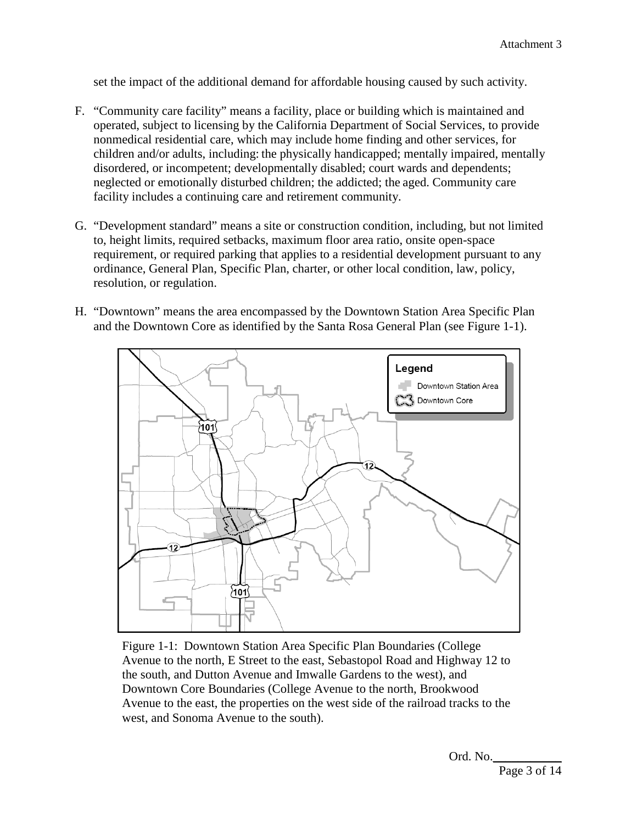set the impact of the additional demand for affordable housing caused by such activity.

- F. "Community care facility" means a facility, place or building which is maintained and operated, subject to licensing by the California Department of Social Services, to provide nonmedical residential care, which may include home finding and other services, for children and/or adults, including: the physically handicapped; mentally impaired, mentally disordered, or incompetent; developmentally disabled; court wards and dependents; neglected or emotionally disturbed children; the addicted; the aged. Community care facility includes a continuing care and retirement community.
- G. "Development standard" means a site or construction condition, including, but not limited to, height limits, required setbacks, maximum floor area ratio, onsite open-space requirement, or required parking that applies to a residential development pursuant to any ordinance, General Plan, Specific Plan, charter, or other local condition, law, policy, resolution, or regulation.
- H. "Downtown" means the area encompassed by the Downtown Station Area Specific Plan and the Downtown Core as identified by the Santa Rosa General Plan (see Figure 1-1).



Figure 1-1: Downtown Station Area Specific Plan Boundaries (College Avenue to the north, E Street to the east, Sebastopol Road and Highway 12 to the south, and Dutton Avenue and Imwalle Gardens to the west), and Downtown Core Boundaries (College Avenue to the north, Brookwood Avenue to the east, the properties on the west side of the railroad tracks to the west, and Sonoma Avenue to the south).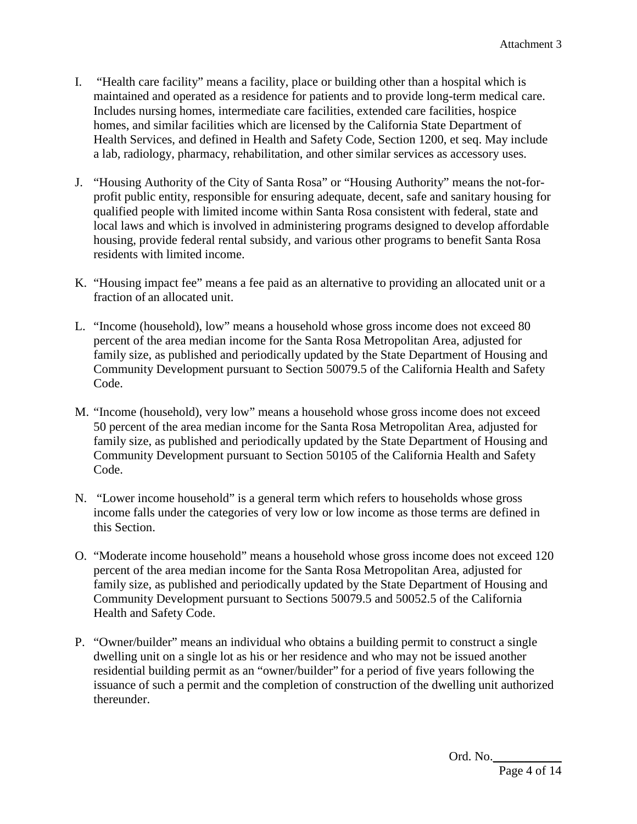- I. "Health care facility" means a facility, place or building other than a hospital which is maintained and operated as a residence for patients and to provide long-term medical care. Includes nursing homes, intermediate care facilities, extended care facilities, hospice homes, and similar facilities which are licensed by the California State Department of Health Services, and defined in Health and Safety Code, Section 1200, et seq. May include a lab, radiology, pharmacy, rehabilitation, and other similar services as accessory uses.
- J. "Housing Authority of the City of Santa Rosa" or "Housing Authority" means the not-forprofit public entity, responsible for ensuring adequate, decent, safe and sanitary housing for qualified people with limited income within Santa Rosa consistent with federal, state and local laws and which is involved in administering programs designed to develop affordable housing, provide federal rental subsidy, and various other programs to benefit Santa Rosa residents with limited income.
- K. "Housing impact fee" means a fee paid as an alternative to providing an allocated unit or a fraction of an allocated unit.
- L. "Income (household), low" means a household whose gross income does not exceed 80 percent of the area median income for the Santa Rosa Metropolitan Area, adjusted for family size, as published and periodically updated by the State Department of Housing and Community Development pursuant to Section 50079.5 of the California Health and Safety Code.
- M. "Income (household), very low" means a household whose gross income does not exceed 50 percent of the area median income for the Santa Rosa Metropolitan Area, adjusted for family size, as published and periodically updated by the State Department of Housing and Community Development pursuant to Section 50105 of the California Health and Safety Code.
- N. "Lower income household" is a general term which refers to households whose gross income falls under the categories of very low or low income as those terms are defined in this Section.
- O. "Moderate income household" means a household whose gross income does not exceed 120 percent of the area median income for the Santa Rosa Metropolitan Area, adjusted for family size, as published and periodically updated by the State Department of Housing and Community Development pursuant to Sections 50079.5 and 50052.5 of the California Health and Safety Code.
- P. "Owner/builder" means an individual who obtains a building permit to construct a single dwelling unit on a single lot as his or her residence and who may not be issued another residential building permit as an "owner/builder" for a period of five years following the issuance of such a permit and the completion of construction of the dwelling unit authorized thereunder.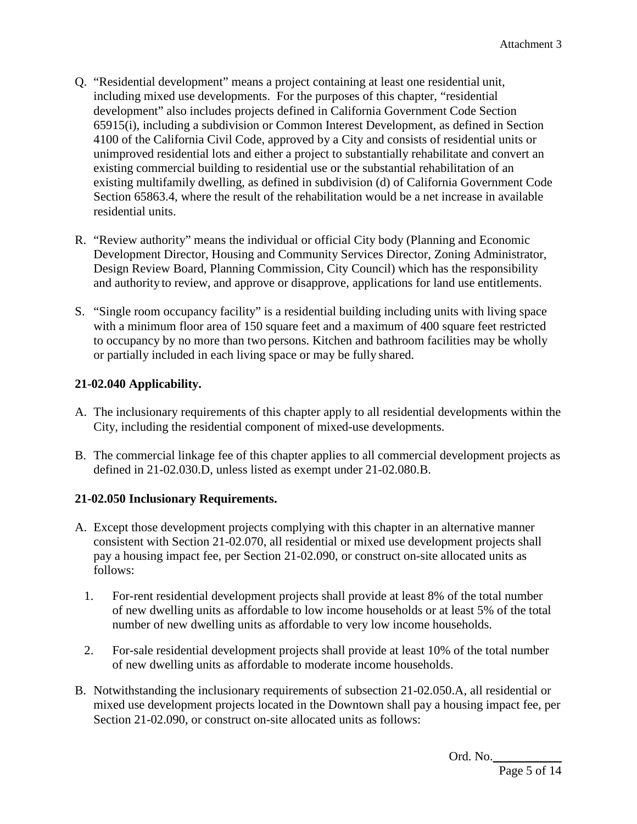- Q. "Residential development" means a project containing at least one residential unit, including mixed use developments. For the purposes of this chapter, "residential development" also includes projects defined in California Government Code Section 65915(i), including a subdivision or Common Interest Development, as defined in Section 4100 of the California Civil Code, approved by a City and consists of residential units or unimproved residential lots and either a project to substantially rehabilitate and convert an existing commercial building to residential use or the substantial rehabilitation of an existing multifamily dwelling, as defined in subdivision (d) of California Government Code Section 65863.4, where the result of the rehabilitation would be a net increase in available residential units.
- R. "Review authority" means the individual or official City body (Planning and Economic Development Director, Housing and Community Services Director, Zoning Administrator, Design Review Board, Planning Commission, City Council) which has the responsibility and authority to review, and approve or disapprove, applications for land use entitlements.
- S. "Single room occupancy facility" is a residential building including units with living space with a minimum floor area of 150 square feet and a maximum of 400 square feet restricted to occupancy by no more than two persons. Kitchen and bathroom facilities may be wholly or partially included in each living space or may be fully shared.

# **21-02.040 Applicability.**

- A. The inclusionary requirements of this chapter apply to all residential developments within the City, including the residential component of mixed-use developments.
- B. The commercial linkage fee of this chapter applies to all commercial development projects as defined in 21-02.030.D, unless listed as exempt under 21-02.080.B.

# **21-02.050 Inclusionary Requirements.**

- A. Except those development projects complying with this chapter in an alternative manner consistent with Section 21-02.070, all residential or mixed use development projects shall pay a housing impact fee, per Section 21-02.090, or construct on-site allocated units as follows:
	- 1. For-rent residential development projects shall provide at least 8% of the total number of new dwelling units as affordable to low income households or at least 5% of the total number of new dwelling units as affordable to very low income households.
	- 2. For-sale residential development projects shall provide at least 10% of the total number of new dwelling units as affordable to moderate income households.
- B. Notwithstanding the inclusionary requirements of subsection 21-02.050.A, all residential or mixed use development projects located in the Downtown shall pay a housing impact fee, per Section 21-02.090, or construct on-site allocated units as follows: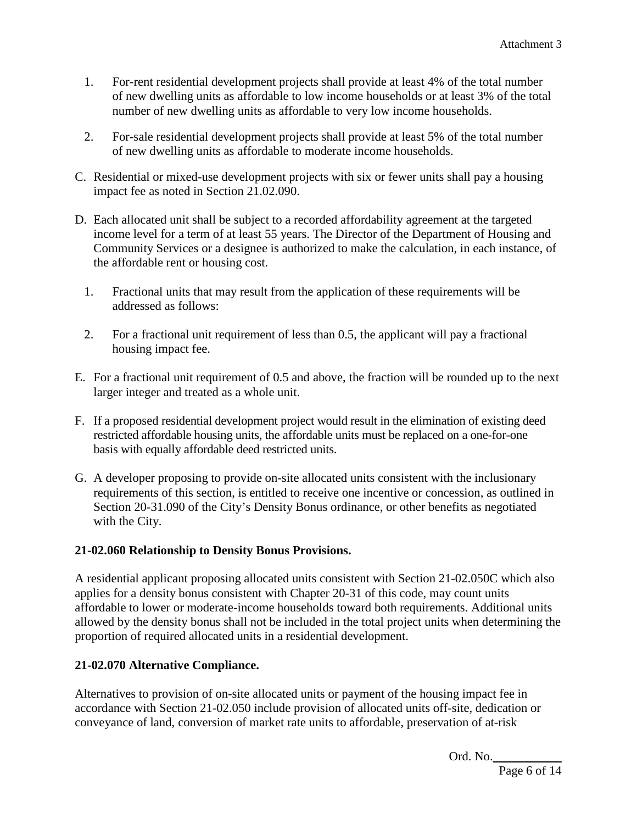- 1. For-rent residential development projects shall provide at least 4% of the total number of new dwelling units as affordable to low income households or at least 3% of the total number of new dwelling units as affordable to very low income households.
- 2. For-sale residential development projects shall provide at least 5% of the total number of new dwelling units as affordable to moderate income households.
- C. Residential or mixed-use development projects with six or fewer units shall pay a housing impact fee as noted in Section 21.02.090.
- D. Each allocated unit shall be subject to a recorded affordability agreement at the targeted income level for a term of at least 55 years. The Director of the Department of Housing and Community Services or a designee is authorized to make the calculation, in each instance, of the affordable rent or housing cost.
	- 1. Fractional units that may result from the application of these requirements will be addressed as follows:
	- 2. For a fractional unit requirement of less than 0.5, the applicant will pay a fractional housing impact fee.
- E. For a fractional unit requirement of 0.5 and above, the fraction will be rounded up to the next larger integer and treated as a whole unit.
- F. If a proposed residential development project would result in the elimination of existing deed restricted affordable housing units, the affordable units must be replaced on a one-for-one basis with equally affordable deed restricted units.
- G. A developer proposing to provide on-site allocated units consistent with the inclusionary requirements of this section, is entitled to receive one incentive or concession, as outlined in Section 20-31.090 of the City's Density Bonus ordinance, or other benefits as negotiated with the City.

# **21-02.060 Relationship to Density Bonus Provisions.**

A residential applicant proposing allocated units consistent with Section 21-02.050C which also applies for a density bonus consistent with Chapter 20-31 of this code, may count units affordable to lower or moderate-income households toward both requirements. Additional units allowed by the density bonus shall not be included in the total project units when determining the proportion of required allocated units in a residential development.

## **21-02.070 Alternative Compliance.**

Alternatives to provision of on-site allocated units or payment of the housing impact fee in accordance with Section 21-02.050 include provision of allocated units off-site, dedication or conveyance of land, conversion of market rate units to affordable, preservation of at-risk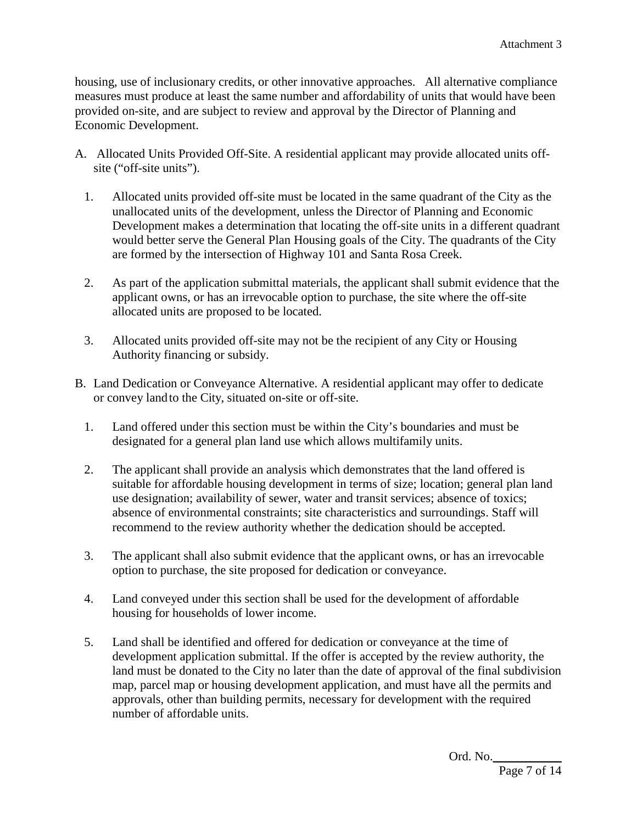housing, use of inclusionary credits, or other innovative approaches. All alternative compliance measures must produce at least the same number and affordability of units that would have been provided on-site, and are subject to review and approval by the Director of Planning and Economic Development.

- A. Allocated Units Provided Off-Site. A residential applicant may provide allocated units offsite ("off-site units").
	- 1. Allocated units provided off-site must be located in the same quadrant of the City as the unallocated units of the development, unless the Director of Planning and Economic Development makes a determination that locating the off-site units in a different quadrant would better serve the General Plan Housing goals of the City. The quadrants of the City are formed by the intersection of Highway 101 and Santa Rosa Creek.
	- 2. As part of the application submittal materials, the applicant shall submit evidence that the applicant owns, or has an irrevocable option to purchase, the site where the off-site allocated units are proposed to be located.
	- 3. Allocated units provided off-site may not be the recipient of any City or Housing Authority financing or subsidy.
- B. Land Dedication or Conveyance Alternative. A residential applicant may offer to dedicate or convey landto the City, situated on-site or off-site.
	- 1. Land offered under this section must be within the City's boundaries and must be designated for a general plan land use which allows multifamily units.
	- 2. The applicant shall provide an analysis which demonstrates that the land offered is suitable for affordable housing development in terms of size; location; general plan land use designation; availability of sewer, water and transit services; absence of toxics; absence of environmental constraints; site characteristics and surroundings. Staff will recommend to the review authority whether the dedication should be accepted.
	- 3. The applicant shall also submit evidence that the applicant owns, or has an irrevocable option to purchase, the site proposed for dedication or conveyance.
	- 4. Land conveyed under this section shall be used for the development of affordable housing for households of lower income.
	- 5. Land shall be identified and offered for dedication or conveyance at the time of development application submittal. If the offer is accepted by the review authority, the land must be donated to the City no later than the date of approval of the final subdivision map, parcel map or housing development application, and must have all the permits and approvals, other than building permits, necessary for development with the required number of affordable units.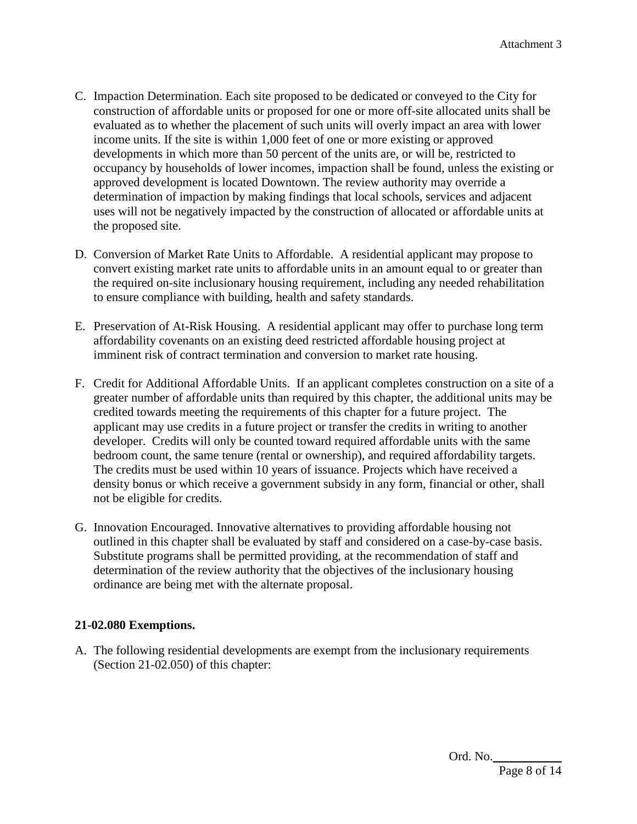- C. Impaction Determination. Each site proposed to be dedicated or conveyed to the City for construction of affordable units or proposed for one or more off-site allocated units shall be evaluated as to whether the placement of such units will overly impact an area with lower income units. If the site is within 1,000 feet of one or more existing or approved developments in which more than 50 percent of the units are, or will be, restricted to occupancy by households of lower incomes, impaction shall be found, unless the existing or approved development is located Downtown. The review authority may override a determination of impaction by making findings that local schools, services and adjacent uses will not be negatively impacted by the construction of allocated or affordable units at the proposed site.
- D. Conversion of Market Rate Units to Affordable. A residential applicant may propose to convert existing market rate units to affordable units in an amount equal to or greater than the required on-site inclusionary housing requirement, including any needed rehabilitation to ensure compliance with building, health and safety standards.
- E. Preservation of At-Risk Housing. A residential applicant may offer to purchase long term affordability covenants on an existing deed restricted affordable housing project at imminent risk of contract termination and conversion to market rate housing.
- F. Credit for Additional Affordable Units. If an applicant completes construction on a site of a greater number of affordable units than required by this chapter, the additional units may be credited towards meeting the requirements of this chapter for a future project. The applicant may use credits in a future project or transfer the credits in writing to another developer. Credits will only be counted toward required affordable units with the same bedroom count, the same tenure (rental or ownership), and required affordability targets. The credits must be used within 10 years of issuance. Projects which have received a density bonus or which receive a government subsidy in any form, financial or other, shall not be eligible for credits.
- G. Innovation Encouraged. Innovative alternatives to providing affordable housing not outlined in this chapter shall be evaluated by staff and considered on a case-by-case basis. Substitute programs shall be permitted providing, at the recommendation of staff and determination of the review authority that the objectives of the inclusionary housing ordinance are being met with the alternate proposal.

## **21-02.080 Exemptions.**

A. The following residential developments are exempt from the inclusionary requirements (Section 21-02.050) of this chapter: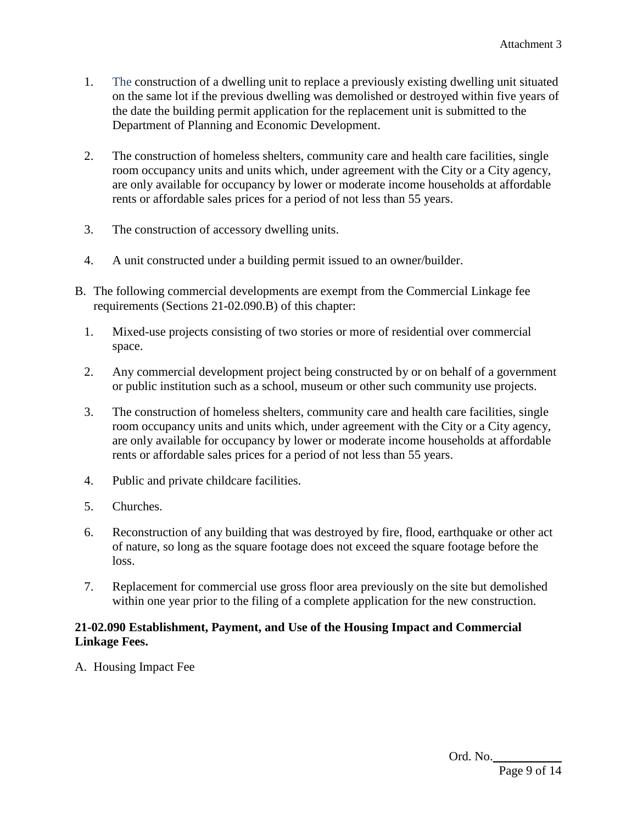- 1. The construction of a dwelling unit to replace a previously existing dwelling unit situated on the same lot if the previous dwelling was demolished or destroyed within five years of the date the building permit application for the replacement unit is submitted to the Department of Planning and Economic Development.
- 2. The construction of homeless shelters, community care and health care facilities, single room occupancy units and units which, under agreement with the City or a City agency, are only available for occupancy by lower or moderate income households at affordable rents or affordable sales prices for a period of not less than 55 years.
- 3. The construction of accessory dwelling units.
- 4. A unit constructed under a building permit issued to an owner/builder.
- B. The following commercial developments are exempt from the Commercial Linkage fee requirements (Sections 21-02.090.B) of this chapter:
	- 1. Mixed-use projects consisting of two stories or more of residential over commercial space.
	- 2. Any commercial development project being constructed by or on behalf of a government or public institution such as a school, museum or other such community use projects.
	- 3. The construction of homeless shelters, community care and health care facilities, single room occupancy units and units which, under agreement with the City or a City agency, are only available for occupancy by lower or moderate income households at affordable rents or affordable sales prices for a period of not less than 55 years.
	- 4. Public and private childcare facilities.
	- 5. Churches.
	- 6. Reconstruction of any building that was destroyed by fire, flood, earthquake or other act of nature, so long as the square footage does not exceed the square footage before the loss.
	- 7. Replacement for commercial use gross floor area previously on the site but demolished within one year prior to the filing of a complete application for the new construction.

## **21-02.090 Establishment, Payment, and Use of the Housing Impact and Commercial Linkage Fees.**

A. Housing Impact Fee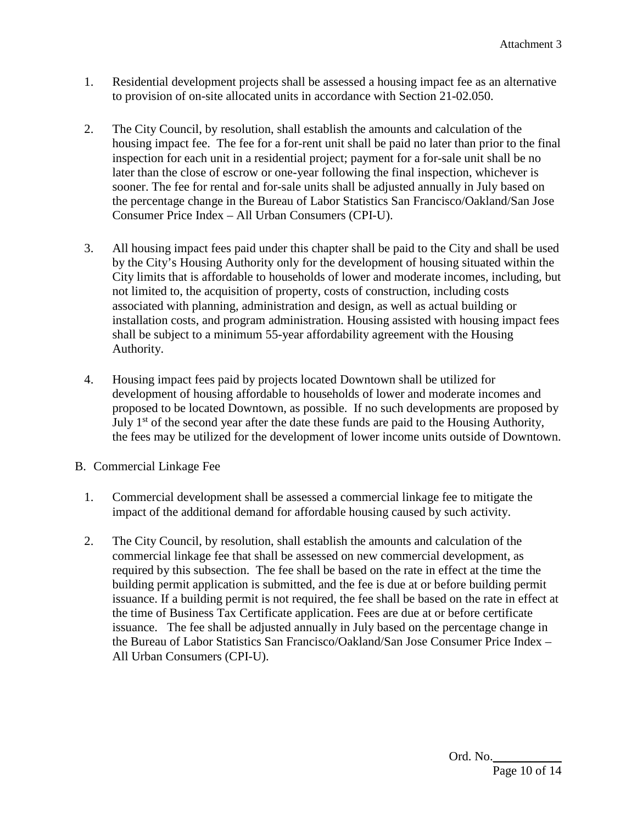- 1. Residential development projects shall be assessed a housing impact fee as an alternative to provision of on-site allocated units in accordance with Section 21-02.050.
- 2. The City Council, by resolution, shall establish the amounts and calculation of the housing impact fee. The fee for a for-rent unit shall be paid no later than prior to the final inspection for each unit in a residential project; payment for a for-sale unit shall be no later than the close of escrow or one-year following the final inspection, whichever is sooner. The fee for rental and for-sale units shall be adjusted annually in July based on the percentage change in the Bureau of Labor Statistics San Francisco/Oakland/San Jose Consumer Price Index – All Urban Consumers (CPI-U).
- 3. All housing impact fees paid under this chapter shall be paid to the City and shall be used by the City's Housing Authority only for the development of housing situated within the City limits that is affordable to households of lower and moderate incomes, including, but not limited to, the acquisition of property, costs of construction, including costs associated with planning, administration and design, as well as actual building or installation costs, and program administration. Housing assisted with housing impact fees shall be subject to a minimum 55-year affordability agreement with the Housing Authority.
- 4. Housing impact fees paid by projects located Downtown shall be utilized for development of housing affordable to households of lower and moderate incomes and proposed to be located Downtown, as possible. If no such developments are proposed by July  $1<sup>st</sup>$  of the second year after the date these funds are paid to the Housing Authority, the fees may be utilized for the development of lower income units outside of Downtown.
- B. Commercial Linkage Fee
	- 1. Commercial development shall be assessed a commercial linkage fee to mitigate the impact of the additional demand for affordable housing caused by such activity.
	- 2. The City Council, by resolution, shall establish the amounts and calculation of the commercial linkage fee that shall be assessed on new commercial development, as required by this subsection. The fee shall be based on the rate in effect at the time the building permit application is submitted, and the fee is due at or before building permit issuance. If a building permit is not required, the fee shall be based on the rate in effect at the time of Business Tax Certificate application. Fees are due at or before certificate issuance. The fee shall be adjusted annually in July based on the percentage change in the Bureau of Labor Statistics San Francisco/Oakland/San Jose Consumer Price Index – All Urban Consumers (CPI-U).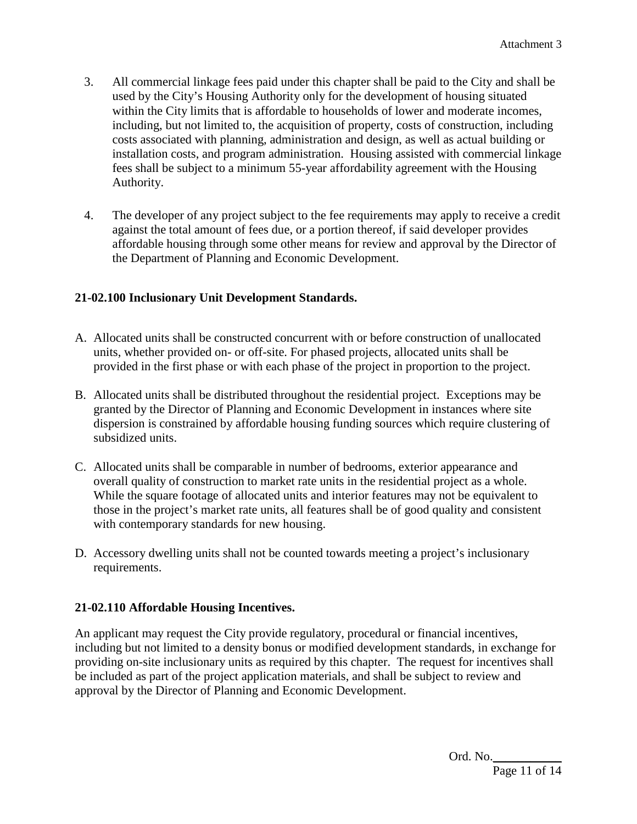- 3. All commercial linkage fees paid under this chapter shall be paid to the City and shall be used by the City's Housing Authority only for the development of housing situated within the City limits that is affordable to households of lower and moderate incomes, including, but not limited to, the acquisition of property, costs of construction, including costs associated with planning, administration and design, as well as actual building or installation costs, and program administration. Housing assisted with commercial linkage fees shall be subject to a minimum 55-year affordability agreement with the Housing Authority.
- 4. The developer of any project subject to the fee requirements may apply to receive a credit against the total amount of fees due, or a portion thereof, if said developer provides affordable housing through some other means for review and approval by the Director of the Department of Planning and Economic Development.

## **21-02.100 Inclusionary Unit Development Standards.**

- A. Allocated units shall be constructed concurrent with or before construction of unallocated units, whether provided on- or off-site. For phased projects, allocated units shall be provided in the first phase or with each phase of the project in proportion to the project.
- B. Allocated units shall be distributed throughout the residential project. Exceptions may be granted by the Director of Planning and Economic Development in instances where site dispersion is constrained by affordable housing funding sources which require clustering of subsidized units.
- C. Allocated units shall be comparable in number of bedrooms, exterior appearance and overall quality of construction to market rate units in the residential project as a whole. While the square footage of allocated units and interior features may not be equivalent to those in the project's market rate units, all features shall be of good quality and consistent with contemporary standards for new housing.
- D. Accessory dwelling units shall not be counted towards meeting a project's inclusionary requirements.

## **21-02.110 Affordable Housing Incentives.**

An applicant may request the City provide regulatory, procedural or financial incentives, including but not limited to a density bonus or modified development standards, in exchange for providing on-site inclusionary units as required by this chapter. The request for incentives shall be included as part of the project application materials, and shall be subject to review and approval by the Director of Planning and Economic Development.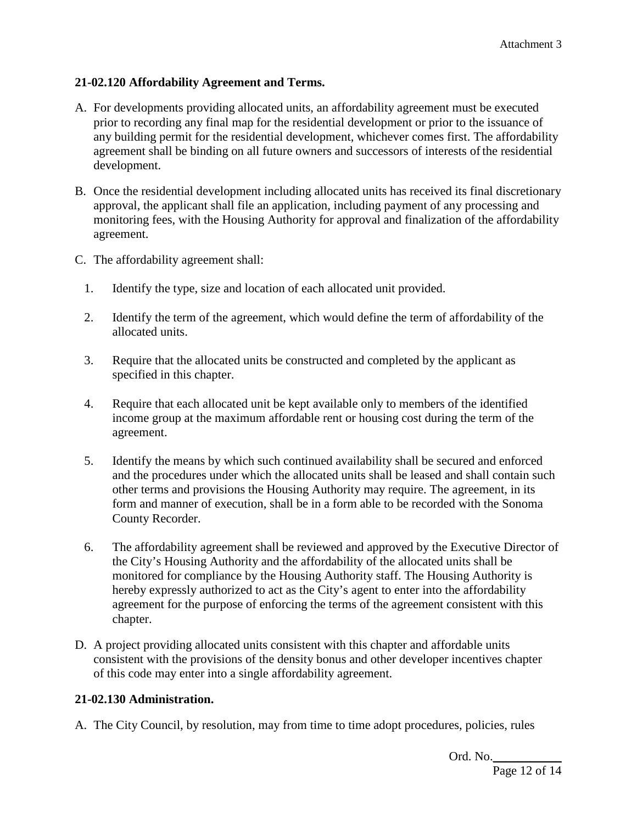## **21-02.120 Affordability Agreement and Terms.**

- A. For developments providing allocated units, an affordability agreement must be executed prior to recording any final map for the residential development or prior to the issuance of any building permit for the residential development, whichever comes first. The affordability agreement shall be binding on all future owners and successors of interests of the residential development.
- B. Once the residential development including allocated units has received its final discretionary approval, the applicant shall file an application, including payment of any processing and monitoring fees, with the Housing Authority for approval and finalization of the affordability agreement.
- C. The affordability agreement shall:
	- 1. Identify the type, size and location of each allocated unit provided.
	- 2. Identify the term of the agreement, which would define the term of affordability of the allocated units.
	- 3. Require that the allocated units be constructed and completed by the applicant as specified in this chapter.
	- 4. Require that each allocated unit be kept available only to members of the identified income group at the maximum affordable rent or housing cost during the term of the agreement.
	- 5. Identify the means by which such continued availability shall be secured and enforced and the procedures under which the allocated units shall be leased and shall contain such other terms and provisions the Housing Authority may require. The agreement, in its form and manner of execution, shall be in a form able to be recorded with the Sonoma County Recorder.
	- 6. The affordability agreement shall be reviewed and approved by the Executive Director of the City's Housing Authority and the affordability of the allocated units shall be monitored for compliance by the Housing Authority staff. The Housing Authority is hereby expressly authorized to act as the City's agent to enter into the affordability agreement for the purpose of enforcing the terms of the agreement consistent with this chapter.
- D. A project providing allocated units consistent with this chapter and affordable units consistent with the provisions of the density bonus and other developer incentives chapter of this code may enter into a single affordability agreement.

#### **21-02.130 Administration.**

A. The City Council, by resolution, may from time to time adopt procedures, policies, rules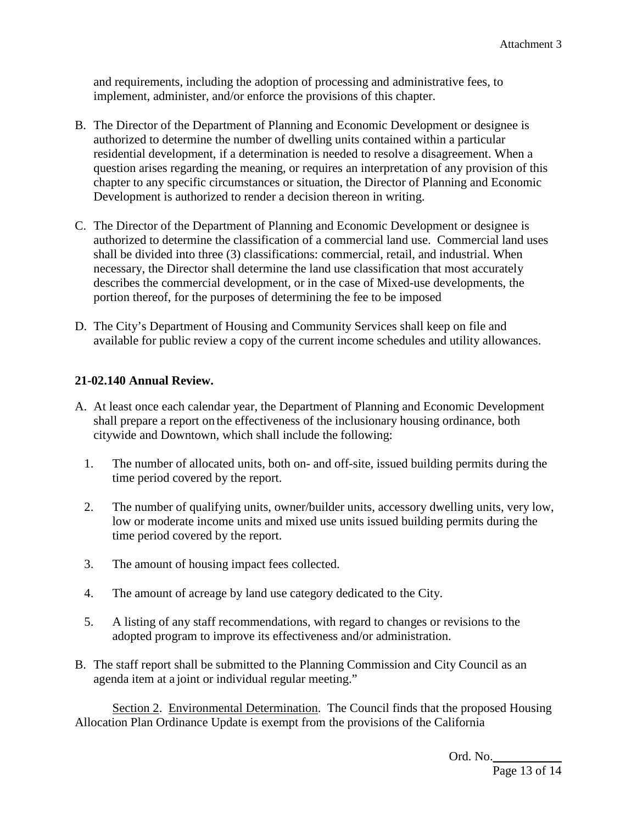and requirements, including the adoption of processing and administrative fees, to implement, administer, and/or enforce the provisions of this chapter.

- B. The Director of the Department of Planning and Economic Development or designee is authorized to determine the number of dwelling units contained within a particular residential development, if a determination is needed to resolve a disagreement. When a question arises regarding the meaning, or requires an interpretation of any provision of this chapter to any specific circumstances or situation, the Director of Planning and Economic Development is authorized to render a decision thereon in writing.
- C. The Director of the Department of Planning and Economic Development or designee is authorized to determine the classification of a commercial land use. Commercial land uses shall be divided into three (3) classifications: commercial, retail, and industrial. When necessary, the Director shall determine the land use classification that most accurately describes the commercial development, or in the case of Mixed-use developments, the portion thereof, for the purposes of determining the fee to be imposed
- D. The City's Department of Housing and Community Services shall keep on file and available for public review a copy of the current income schedules and utility allowances.

## **21-02.140 Annual Review.**

- A. At least once each calendar year, the Department of Planning and Economic Development shall prepare a report on the effectiveness of the inclusionary housing ordinance, both citywide and Downtown, which shall include the following:
	- 1. The number of allocated units, both on- and off-site, issued building permits during the time period covered by the report.
	- 2. The number of qualifying units, owner/builder units, accessory dwelling units, very low, low or moderate income units and mixed use units issued building permits during the time period covered by the report.
	- 3. The amount of housing impact fees collected.
	- 4. The amount of acreage by land use category dedicated to the City.
	- 5. A listing of any staff recommendations, with regard to changes or revisions to the adopted program to improve its effectiveness and/or administration.
- B. The staff report shall be submitted to the Planning Commission and City Council as an agenda item at a joint or individual regular meeting."

Section 2. Environmental Determination. The Council finds that the proposed Housing Allocation Plan Ordinance Update is exempt from the provisions of the California